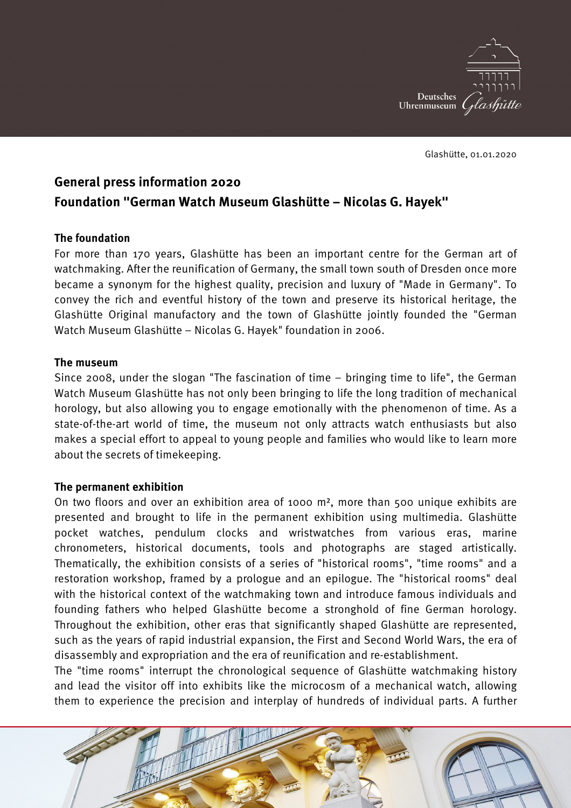

Glashütte, 01.01.2020

# **General press information 2020 Foundation "German Watch Museum Glashütte – Nicolas G. Hayek"**

## **The foundation**

For more than 170 years, Glashütte has been an important centre for the German art of watchmaking. After the reunification of Germany, the small town south of Dresden once more became a synonym for the highest quality, precision and luxury of "Made in Germany". To convey the rich and eventful history of the town and preserve its historical heritage, the Glashütte Original manufactory and the town of Glashütte jointly founded the "German Watch Museum Glashütte – Nicolas G. Hayek" foundation in 2006.

## **The museum**

Since 2008, under the slogan "The fascination of time – bringing time to life", the German Watch Museum Glashütte has not only been bringing to life the long tradition of mechanical horology, but also allowing you to engage emotionally with the phenomenon of time. As a state-of-the-art world of time, the museum not only attracts watch enthusiasts but also makes a special effort to appeal to young people and families who would like to learn more about the secrets of timekeeping.

## **The permanent exhibition**

On two floors and over an exhibition area of 1000 m², more than 500 unique exhibits are presented and brought to life in the permanent exhibition using multimedia. Glashütte pocket watches, pendulum clocks and wristwatches from various eras, marine chronometers, historical documents, tools and photographs are staged artistically. Thematically, the exhibition consists of a series of "historical rooms", "time rooms" and a restoration workshop, framed by a prologue and an epilogue. The "historical rooms" deal with the historical context of the watchmaking town and introduce famous individuals and founding fathers who helped Glashütte become a stronghold of fine German horology. Throughout the exhibition, other eras that significantly shaped Glashütte are represented, such as the years of rapid industrial expansion, the First and Second World Wars, the era of disassembly and expropriation and the era of reunification and re-establishment.

The "time rooms" interrupt the chronological sequence of Glashütte watchmaking history and lead the visitor off into exhibits like the microcosm of a mechanical watch, allowing them to experience the precision and interplay of hundreds of individual parts. A further

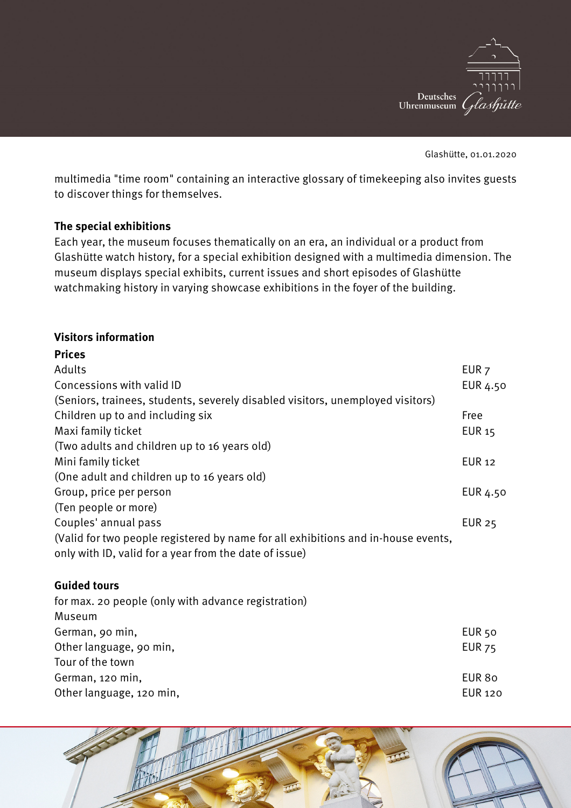

Glashütte, 01.01.2020

multimedia "time room" containing an interactive glossary of timekeeping also invites guests to discover things for themselves.

## **The special exhibitions**

Each year, the museum focuses thematically on an era, an individual or a product from Glashütte watch history, for a special exhibition designed with a multimedia dimension. The museum displays special exhibits, current issues and short episodes of Glashütte watchmaking history in varying showcase exhibitions in the foyer of the building.

## **Visitors information**

| <b>Prices</b>                                                                     |                  |
|-----------------------------------------------------------------------------------|------------------|
| Adults                                                                            | EUR <sub>7</sub> |
| Concessions with valid ID                                                         | EUR 4.50         |
| (Seniors, trainees, students, severely disabled visitors, unemployed visitors)    |                  |
| Children up to and including six                                                  | Free             |
| Maxi family ticket                                                                | <b>EUR 15</b>    |
| (Two adults and children up to 16 years old)                                      |                  |
| Mini family ticket                                                                | <b>EUR 12</b>    |
| (One adult and children up to 16 years old)                                       |                  |
| Group, price per person                                                           | EUR 4.50         |
| (Ten people or more)                                                              |                  |
| Couples' annual pass                                                              | <b>EUR 25</b>    |
| (Valid for two people registered by name for all exhibitions and in-house events, |                  |
| only with ID, valid for a year from the date of issue)                            |                  |

## **Guided tours**

| EUR <sub>50</sub> |
|-------------------|
| <b>EUR 75</b>     |
|                   |
| EUR 80            |
| <b>EUR 120</b>    |
|                   |